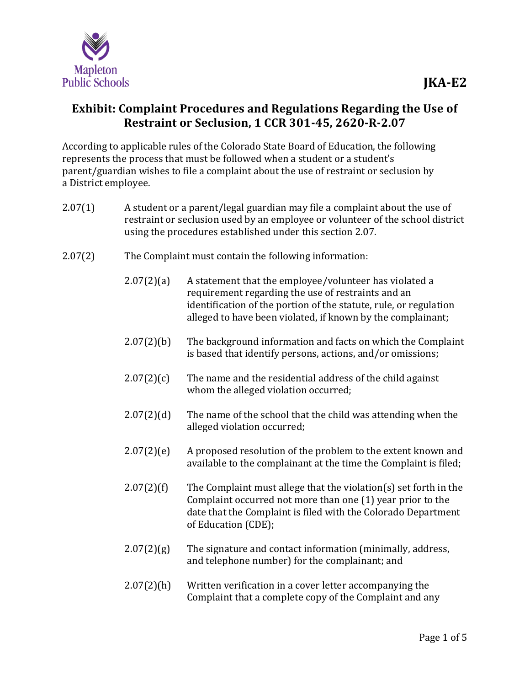

## **Exhibit: Complaint Procedures and Regulations Regarding the Use of Restraint or Seclusion, 1 CCR 301-45, 2620-R-2.07**

According to applicable rules of the Colorado State Board of Education, the following represents the process that must be followed when a student or a student's parent/guardian wishes to file a complaint about the use of restraint or seclusion by a District employee.

- 2.07(1) A student or a parent/legal guardian may file a complaint about the use of restraint or seclusion used by an employee or volunteer of the school district using the procedures established under this section 2.07.
- 2.07(2) The Complaint must contain the following information:
	- $2.07(2)(a)$  A statement that the employee/volunteer has violated a requirement regarding the use of restraints and an identification of the portion of the statute, rule, or regulation alleged to have been violated, if known by the complainant;
	- 2.07(2)(b) The background information and facts on which the Complaint is based that identify persons, actions, and/or omissions;
	- $2.07(2)(c)$  The name and the residential address of the child against whom the alleged violation occurred;
	- 2.07(2)(d) The name of the school that the child was attending when the alleged violation occurred;
	- $2.07(2)(e)$  A proposed resolution of the problem to the extent known and available to the complainant at the time the Complaint is filed;
	- $2.07(2)(f)$  The Complaint must allege that the violation(s) set forth in the Complaint occurred not more than one (1) year prior to the date that the Complaint is filed with the Colorado Department of Education (CDE);
	- $2.07(2)(g)$  The signature and contact information (minimally, address, and telephone number) for the complainant; and
	- 2.07(2)(h) Written verification in a cover letter accompanying the Complaint that a complete copy of the Complaint and any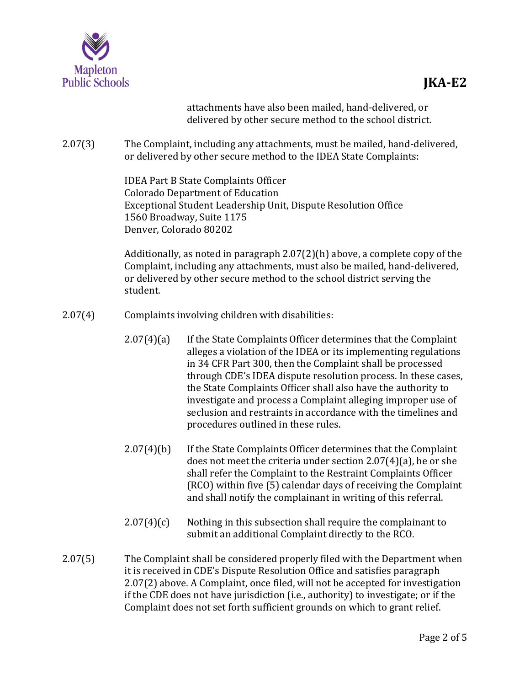

attachments have also been mailed, hand-delivered, or delivered by other secure method to the school district.

2.07(3) The Complaint, including any attachments, must be mailed, hand-delivered, or delivered by other secure method to the IDEA State Complaints:

> IDEA Part B State Complaints Officer Colorado Department of Education Exceptional Student Leadership Unit, Dispute Resolution Office 1560 Broadway, Suite 1175 Denver, Colorado 80202

Additionally, as noted in paragraph 2.07(2)(h) above, a complete copy of the Complaint, including any attachments, must also be mailed, hand-delivered, or delivered by other secure method to the school district serving the student.

- 2.07(4) Complaints involving children with disabilities:
	- 2.07(4)(a) If the State Complaints Officer determines that the Complaint alleges a violation of the IDEA or its implementing regulations in 34 CFR Part 300, then the Complaint shall be processed through CDE's IDEA dispute resolution process. In these cases, the State Complaints Officer shall also have the authority to investigate and process a Complaint alleging improper use of seclusion and restraints in accordance with the timelines and procedures outlined in these rules.
	- 2.07(4)(b) If the State Complaints Officer determines that the Complaint does not meet the criteria under section 2.07(4)(a), he or she shall refer the Complaint to the Restraint Complaints Officer (RCO) within five (5) calendar days of receiving the Complaint and shall notify the complainant in writing of this referral.
	- $2.07(4)(c)$  Nothing in this subsection shall require the complainant to submit an additional Complaint directly to the RCO.
- 2.07(5) The Complaint shall be considered properly filed with the Department when it is received in CDE's Dispute Resolution Office and satisfies paragraph 2.07(2) above. A Complaint, once filed, will not be accepted for investigation if the CDE does not have jurisdiction (i.e., authority) to investigate; or if the Complaint does not set forth sufficient grounds on which to grant relief.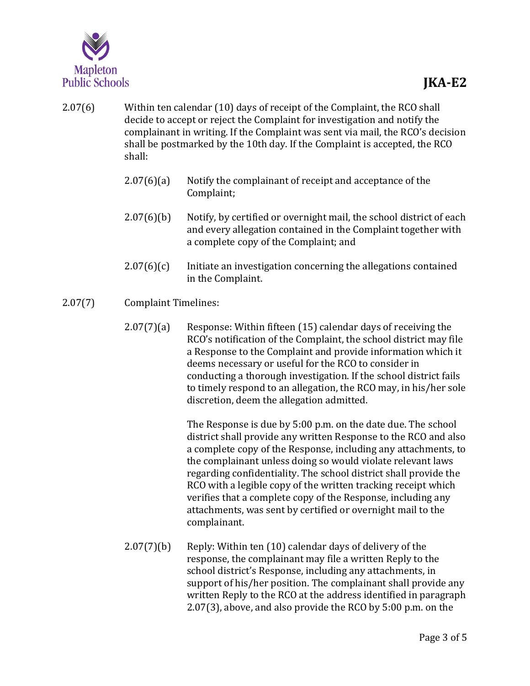

- 2.07(6) Within ten calendar (10) days of receipt of the Complaint, the RCO shall decide to accept or reject the Complaint for investigation and notify the complainant in writing. If the Complaint was sent via mail, the RCO's decision shall be postmarked by the 10th day. If the Complaint is accepted, the RCO shall:
	- 2.07(6)(a) Notify the complainant of receipt and acceptance of the Complaint;
	- 2.07(6)(b) Notify, by certified or overnight mail, the school district of each and every allegation contained in the Complaint together with a complete copy of the Complaint; and
	- $2.07(6)(c)$  Initiate an investigation concerning the allegations contained in the Complaint.
- 2.07(7) Complaint Timelines:
	- 2.07(7)(a) Response: Within fifteen (15) calendar days of receiving the RCO's notification of the Complaint, the school district may file a Response to the Complaint and provide information which it deems necessary or useful for the RCO to consider in conducting a thorough investigation. If the school district fails to timely respond to an allegation, the RCO may, in his/her sole discretion, deem the allegation admitted.

The Response is due by 5:00 p.m. on the date due. The school district shall provide any written Response to the RCO and also a complete copy of the Response, including any attachments, to the complainant unless doing so would violate relevant laws regarding confidentiality. The school district shall provide the RCO with a legible copy of the written tracking receipt which verifies that a complete copy of the Response, including any attachments, was sent by certified or overnight mail to the complainant.

2.07(7)(b) Reply: Within ten (10) calendar days of delivery of the response, the complainant may file a written Reply to the school district's Response, including any attachments, in support of his/her position. The complainant shall provide any written Reply to the RCO at the address identified in paragraph 2.07(3), above, and also provide the RCO by 5:00 p.m. on the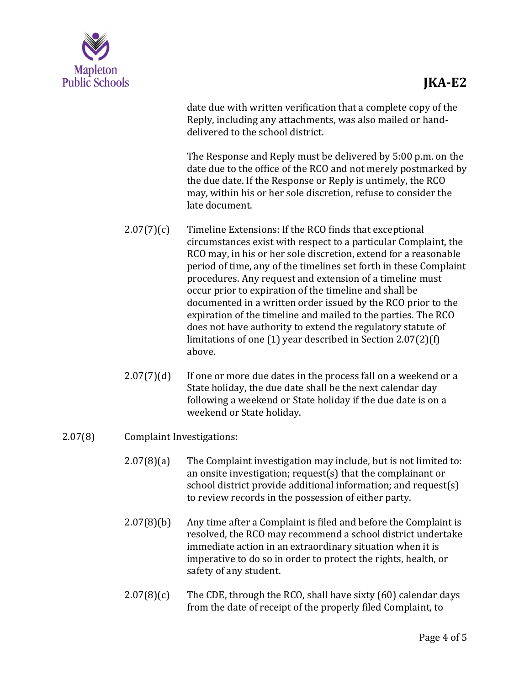

date due with written verification that a complete copy of the Reply, including any attachments, was also mailed or handdelivered to the school district.

The Response and Reply must be delivered by 5:00 p.m. on the date due to the office of the RCO and not merely postmarked by the due date. If the Response or Reply is untimely, the RCO may, within his or her sole discretion, refuse to consider the late document.

- $2.07(7)(c)$  Timeline Extensions: If the RCO finds that exceptional circumstances exist with respect to a particular Complaint, the RCO may, in his or her sole discretion, extend for a reasonable period of time, any of the timelines set forth in these Complaint procedures. Any request and extension of a timeline must occur prior to expiration of the timeline and shall be documented in a written order issued by the RCO prior to the expiration of the timeline and mailed to the parties. The RCO does not have authority to extend the regulatory statute of limitations of one (1) year described in Section 2.07(2)(f) above.
- $2.07(7)(d)$  If one or more due dates in the process fall on a weekend or a State holiday, the due date shall be the next calendar day following a weekend or State holiday if the due date is on a weekend or State holiday.
- 2.07(8) Complaint Investigations:
	- 2.07(8)(a) The Complaint investigation may include, but is not limited to: an onsite investigation; request(s) that the complainant or school district provide additional information; and request(s) to review records in the possession of either party.
	- 2.07(8)(b) Any time after a Complaint is filed and before the Complaint is resolved, the RCO may recommend a school district undertake immediate action in an extraordinary situation when it is imperative to do so in order to protect the rights, health, or safety of any student.
	- $2.07(8)(c)$  The CDE, through the RCO, shall have sixty (60) calendar days from the date of receipt of the properly filed Complaint, to